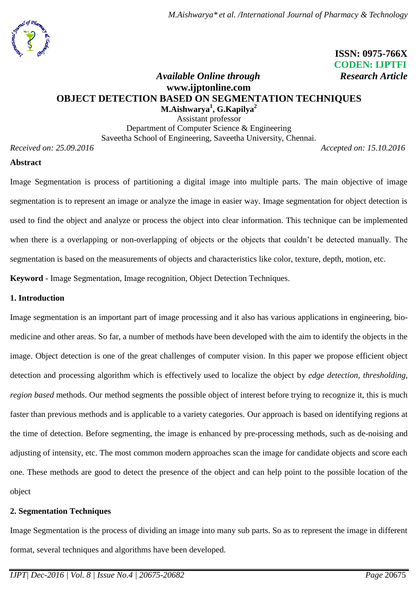

 **ISSN: 0975-766X CODEN: IJPTFI**

# *Available Online through Research Article* **www.ijptonline.com OBJECT DETECTION BASED ON SEGMENTATION TECHNIQUES M.Aishwarya<sup>1</sup> , G.Kapilya<sup>2</sup>**

Assistant professor Department of Computer Science & Engineering Saveetha School of Engineering, Saveetha University, Chennai.

*Received on: 25.09.2016 Accepted on: 15.10.2016*

### **Abstract**

Image Segmentation is process of partitioning a digital image into multiple parts. The main objective of image segmentation is to represent an image or analyze the image in easier way. Image segmentation for object detection is used to find the object and analyze or process the object into clear information. This technique can be implemented when there is a overlapping or non-overlapping of objects or the objects that couldn't be detected manually. The segmentation is based on the measurements of objects and characteristics like color, texture, depth, motion, etc.

**Keyword** *-* Image Segmentation, Image recognition, Object Detection Techniques.

### **1. Introduction**

Image segmentation is an important part of image processing and it also has various applications in engineering, biomedicine and other areas. So far, a number of methods have been developed with the aim to identify the objects in the image. Object detection is one of the great challenges of computer vision. In this paper we propose efficient object detection and processing algorithm which is effectively used to localize the object by *edge detection, thresholding, region based* methods. Our method segments the possible object of interest before trying to recognize it, this is much faster than previous methods and is applicable to a variety categories. Our approach is based on identifying regions at the time of detection. Before segmenting, the image is enhanced by pre-processing methods, such as de-noising and adjusting of intensity, etc. The most common modern approaches scan the image for candidate objects and score each one. These methods are good to detect the presence of the object and can help point to the possible location of the object

### **2. Segmentation Techniques**

Image Segmentation is the process of dividing an image into many sub parts. So as to represent the image in different format, several techniques and algorithms have been developed.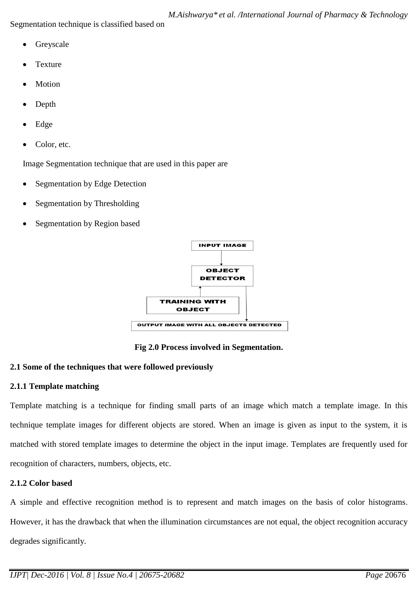Segmentation technique is classified based on

- Greyscale
- Texture
- Motion
- Depth
- Edge
- Color, etc.

Image Segmentation technique that are used in this paper are

- Segmentation by Edge Detection
- Segmentation by Thresholding
- Segmentation by Region based



**Fig 2.0 Process involved in Segmentation.**

# **2.1 Some of the techniques that were followed previously**

# **2.1.1 Template matching**

Template matching is a technique for finding small parts of an image which match a template image. In this technique template images for different objects are stored. When an image is given as input to the system, it is matched with stored template images to determine the object in the input image. Templates are frequently used for recognition of characters, numbers, objects, etc.

# **2.1.2 Color based**

A simple and effective recognition method is to represent and match images on the basis of color histograms. However, it has the drawback that when the illumination circumstances are not equal, the object recognition accuracy degrades significantly.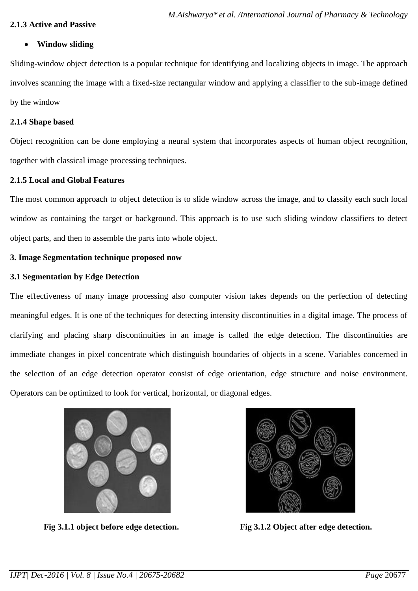### **2.1.3 Active and Passive**

### **Window sliding**

Sliding-window object detection is a popular technique for identifying and localizing objects in image. The approach involves scanning the image with a fixed-size rectangular window and applying a classifier to the sub-image defined by the window

#### **2.1.4 Shape based**

Object recognition can be done employing a neural system that incorporates aspects of human object recognition, together with classical image processing techniques.

#### **2.1.5 Local and Global Features**

The most common approach to object detection is to slide window across the image, and to classify each such local window as containing the target or background. This approach is to use such sliding window classifiers to detect object parts, and then to assemble the parts into whole object.

### **3. Image Segmentation technique proposed now**

### **3.1 Segmentation by Edge Detection**

The effectiveness of many image processing also computer vision takes depends on the perfection of detecting meaningful edges. It is one of the techniques for detecting intensity discontinuities in a digital image. The process of clarifying and placing sharp discontinuities in an image is called the edge detection. The discontinuities are immediate changes in pixel concentrate which distinguish boundaries of objects in a scene. Variables concerned in the selection of an edge detection operator consist of edge orientation, edge structure and noise environment. Operators can be optimized to look for vertical, horizontal, or diagonal edges.



 **Fig 3.1.1 object before edge detection. Fig 3.1.2 Object after edge detection.**

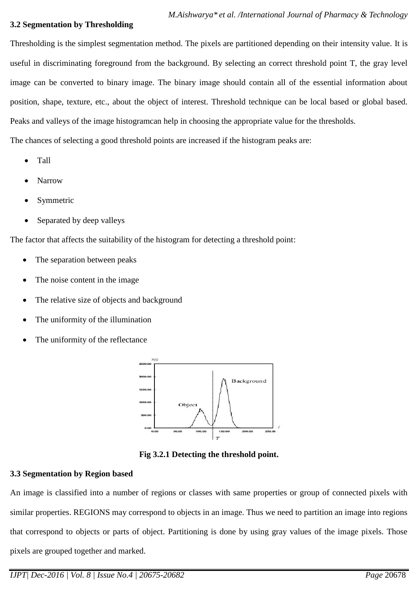#### **3.2 Segmentation by Thresholding**

Thresholding is the simplest segmentation method. The pixels are partitioned depending on their intensity value. It is useful in discriminating foreground from the background. By selecting an correct threshold point T, the gray level image can be converted to binary image. The binary image should contain all of the essential information about position, shape, texture, etc., about the object of interest. Threshold technique can be local based or global based. Peaks and valleys of the image histogramcan help in choosing the appropriate value for the thresholds.

- Tall
- Narrow
- Symmetric
- Separated by deep valleys

The factor that affects the suitability of the histogram for detecting a threshold point:

The chances of selecting a good threshold points are increased if the histogram peaks are:

- The separation between peaks
- The noise content in the image
- The relative size of objects and background
- The uniformity of the illumination
- The uniformity of the reflectance



**Fig 3.2.1 Detecting the threshold point.**

## **3.3 Segmentation by Region based**

An image is classified into a number of regions or classes with same properties or group of connected pixels with similar properties. REGIONS may correspond to objects in an image. Thus we need to partition an image into regions that correspond to objects or parts of object. Partitioning is done by using gray values of the image pixels. Those pixels are grouped together and marked.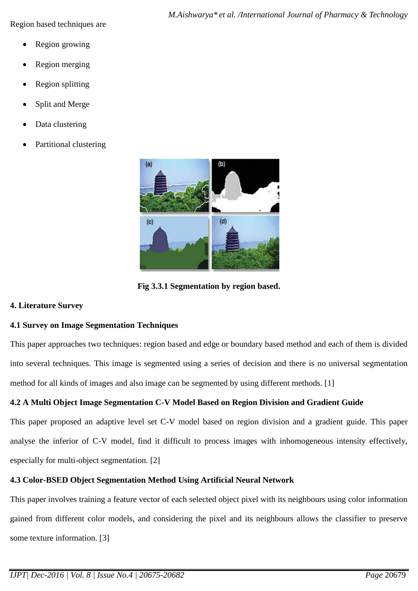Region based techniques are

- Region growing
- Region merging
- Region splitting
- Split and Merge
- Data clustering
- Partitional clustering



**Fig 3.3.1 Segmentation by region based.**

### **4. Literature Survey**

## **4.1 Survey on Image Segmentation Techniques**

This paper approaches two techniques: region based and edge or boundary based method and each of them is divided into several techniques. This image is segmented using a series of decision and there is no universal segmentation method for all kinds of images and also image can be segmented by using different methods. [1]

# **4.2 A Multi Object Image Segmentation C-V Model Based on Region Division and Gradient Guide**

This paper proposed an adaptive level set C-V model based on region division and a gradient guide. This paper analyse the inferior of C-V model, find it difficult to process images with inhomogeneous intensity effectively, especially for multi-object segmentation. [2]

## **4.3 Color-BSED Object Segmentation Method Using Artificial Neural Network**

This paper involves training a feature vector of each selected object pixel with its neighbours using color information gained from different color models, and considering the pixel and its neighbours allows the classifier to preserve some texture information. [3]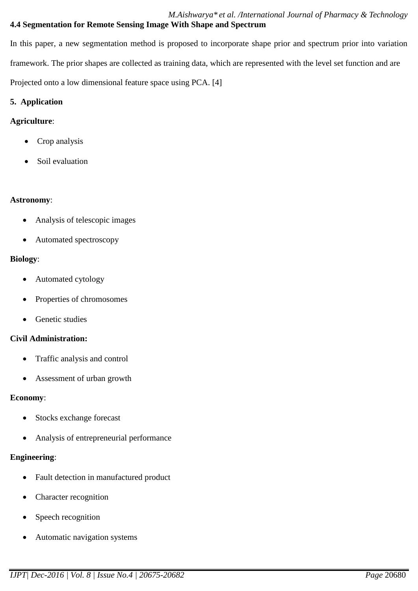*M.Aishwarya\* et al. /International Journal of Pharmacy & Technology* **4.4 Segmentation for Remote Sensing Image With Shape and Spectrum**

In this paper, a new segmentation method is proposed to incorporate shape prior and spectrum prior into variation framework. The prior shapes are collected as training data, which are represented with the level set function and are Projected onto a low dimensional feature space using PCA. [4]

## **5. Application**

## **Agriculture**:

- Crop analysis
- Soil evaluation

## **Astronomy**:

- Analysis of telescopic images
- Automated spectroscopy

### **Biology**:

- Automated cytology
- Properties of chromosomes
- Genetic studies

## **Civil Administration:**

- Traffic analysis and control
- Assessment of urban growth

## **Economy**:

- Stocks exchange forecast
- Analysis of entrepreneurial performance

## **Engineering**:

- Fault detection in manufactured product
- Character recognition
- Speech recognition
- Automatic navigation systems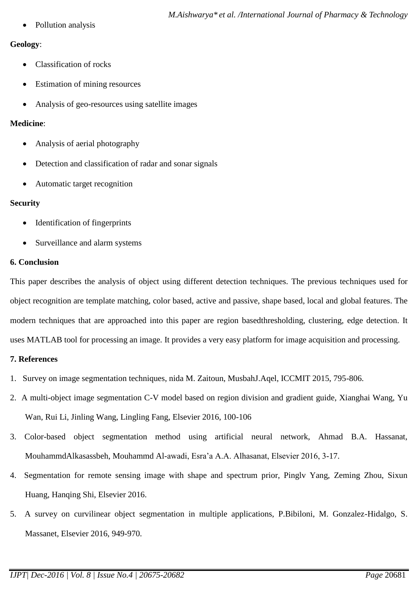Pollution analysis

### **Geology**:

- Classification of rocks
- Estimation of mining resources
- Analysis of geo-resources using satellite images

## **Medicine**:

- Analysis of aerial photography
- Detection and classification of radar and sonar signals
- Automatic target recognition

### **Security**

- Identification of fingerprints
- Surveillance and alarm systems

## **6. Conclusion**

This paper describes the analysis of object using different detection techniques. The previous techniques used for object recognition are template matching, color based, active and passive, shape based, local and global features. The modern techniques that are approached into this paper are region basedthresholding, clustering, edge detection. It uses MATLAB tool for processing an image. It provides a very easy platform for image acquisition and processing.

## **7. References**

- 1. Survey on image segmentation techniques, nida M. Zaitoun, MusbahJ.Aqel, ICCMIT 2015, 795-806.
- 2. A multi-object image segmentation C-V model based on region division and gradient guide, Xianghai Wang, Yu Wan, Rui Li, Jinling Wang, Lingling Fang, Elsevier 2016, 100-106
- 3. Color-based object segmentation method using artificial neural network, Ahmad B.A. Hassanat, MouhammdAlkasassbeh, Mouhammd Al-awadi, Esra'a A.A. Alhasanat, Elsevier 2016, 3-17.
- 4. Segmentation for remote sensing image with shape and spectrum prior, Pinglv Yang, Zeming Zhou, Sixun Huang, Hanqing Shi, Elsevier 2016.
- 5. A survey on curvilinear object segmentation in multiple applications, P.Bibiloni, M. Gonzalez-Hidalgo, S. Massanet, Elsevier 2016, 949-970.